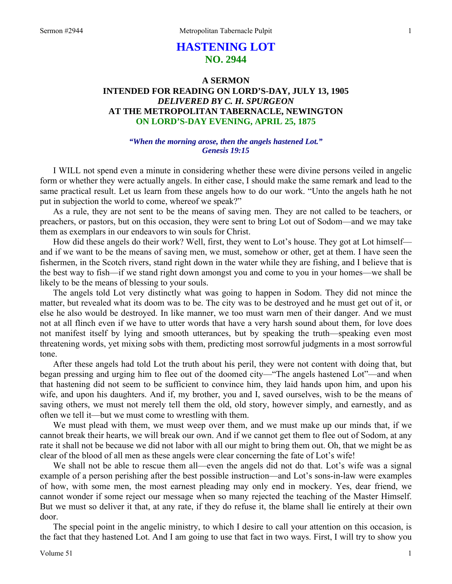# **HASTENING LOT NO. 2944**

## **A SERMON INTENDED FOR READING ON LORD'S-DAY, JULY 13, 1905**  *DELIVERED BY C. H. SPURGEON*  **AT THE METROPOLITAN TABERNACLE, NEWINGTON ON LORD'S-DAY EVENING, APRIL 25, 1875**

### *"When the morning arose, then the angels hastened Lot." Genesis 19:15*

I WILL not spend even a minute in considering whether these were divine persons veiled in angelic form or whether they were actually angels. In either case, I should make the same remark and lead to the same practical result. Let us learn from these angels how to do our work. "Unto the angels hath he not put in subjection the world to come, whereof we speak?"

 As a rule, they are not sent to be the means of saving men. They are not called to be teachers, or preachers, or pastors, but on this occasion, they were sent to bring Lot out of Sodom—and we may take them as exemplars in our endeavors to win souls for Christ.

 How did these angels do their work? Well, first, they went to Lot's house. They got at Lot himself and if we want to be the means of saving men, we must, somehow or other, get at them. I have seen the fishermen, in the Scotch rivers, stand right down in the water while they are fishing, and I believe that is the best way to fish—if we stand right down amongst you and come to you in your homes—we shall be likely to be the means of blessing to your souls.

 The angels told Lot very distinctly what was going to happen in Sodom. They did not mince the matter, but revealed what its doom was to be. The city was to be destroyed and he must get out of it, or else he also would be destroyed. In like manner, we too must warn men of their danger. And we must not at all flinch even if we have to utter words that have a very harsh sound about them, for love does not manifest itself by lying and smooth utterances, but by speaking the truth—speaking even most threatening words, yet mixing sobs with them, predicting most sorrowful judgments in a most sorrowful tone.

 After these angels had told Lot the truth about his peril, they were not content with doing that, but began pressing and urging him to flee out of the doomed city—"The angels hastened Lot"—and when that hastening did not seem to be sufficient to convince him, they laid hands upon him, and upon his wife, and upon his daughters. And if, my brother, you and I, saved ourselves, wish to be the means of saving others, we must not merely tell them the old, old story, however simply, and earnestly, and as often we tell it—but we must come to wrestling with them.

 We must plead with them, we must weep over them, and we must make up our minds that, if we cannot break their hearts, we will break our own. And if we cannot get them to flee out of Sodom, at any rate it shall not be because we did not labor with all our might to bring them out. Oh, that we might be as clear of the blood of all men as these angels were clear concerning the fate of Lot's wife!

 We shall not be able to rescue them all—even the angels did not do that. Lot's wife was a signal example of a person perishing after the best possible instruction—and Lot's sons-in-law were examples of how, with some men, the most earnest pleading may only end in mockery. Yes, dear friend, we cannot wonder if some reject our message when so many rejected the teaching of the Master Himself. But we must so deliver it that, at any rate, if they do refuse it, the blame shall lie entirely at their own door.

 The special point in the angelic ministry, to which I desire to call your attention on this occasion, is the fact that they hastened Lot. And I am going to use that fact in two ways. First, I will try to show you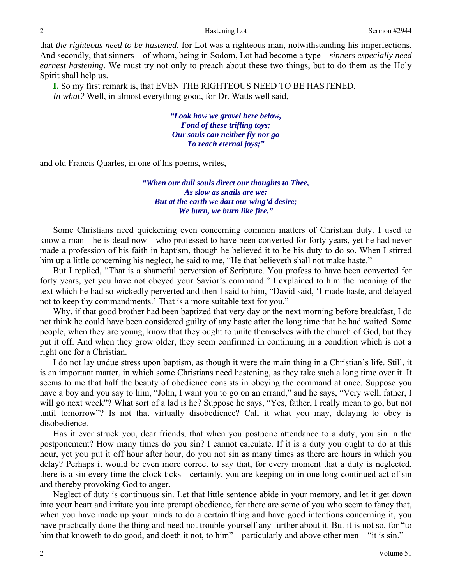### 2 **Example 3** Hastening Lot Sermon #2944

that *the righteous need to be hastened*, for Lot was a righteous man, notwithstanding his imperfections. And secondly, that sinners—of whom, being in Sodom, Lot had become a type—*sinners especially need earnest hastening*. We must try not only to preach about these two things, but to do them as the Holy Spirit shall help us.

**I.** So my first remark is, that EVEN THE RIGHTEOUS NEED TO BE HASTENED.  *In what?* Well, in almost everything good, for Dr. Watts well said,—

> *"Look how we grovel here below, Fond of these trifling toys; Our souls can neither fly nor go To reach eternal joys;"*

and old Francis Quarles, in one of his poems, writes,—

*"When our dull souls direct our thoughts to Thee, As slow as snails are we: But at the earth we dart our wing'd desire; We burn, we burn like fire."* 

Some Christians need quickening even concerning common matters of Christian duty. I used to know a man—he is dead now—who professed to have been converted for forty years, yet he had never made a profession of his faith in baptism, though he believed it to be his duty to do so. When I stirred him up a little concerning his neglect, he said to me, "He that believeth shall not make haste."

 But I replied, "That is a shameful perversion of Scripture. You profess to have been converted for forty years, yet you have not obeyed your Savior's command." I explained to him the meaning of the text which he had so wickedly perverted and then I said to him, "David said, 'I made haste, and delayed not to keep thy commandments.' That is a more suitable text for you."

 Why, if that good brother had been baptized that very day or the next morning before breakfast, I do not think he could have been considered guilty of any haste after the long time that he had waited. Some people, when they are young, know that they ought to unite themselves with the church of God, but they put it off. And when they grow older, they seem confirmed in continuing in a condition which is not a right one for a Christian.

 I do not lay undue stress upon baptism, as though it were the main thing in a Christian's life. Still, it is an important matter, in which some Christians need hastening, as they take such a long time over it. It seems to me that half the beauty of obedience consists in obeying the command at once. Suppose you have a boy and you say to him, "John, I want you to go on an errand," and he says, "Very well, father, I will go next week"? What sort of a lad is he? Suppose he says, "Yes, father, I really mean to go, but not until tomorrow"? Is not that virtually disobedience? Call it what you may, delaying to obey is disobedience.

 Has it ever struck you, dear friends, that when you postpone attendance to a duty, you sin in the postponement? How many times do you sin? I cannot calculate. If it is a duty you ought to do at this hour, yet you put it off hour after hour, do you not sin as many times as there are hours in which you delay? Perhaps it would be even more correct to say that, for every moment that a duty is neglected, there is a sin every time the clock ticks—certainly, you are keeping on in one long-continued act of sin and thereby provoking God to anger.

 Neglect of duty is continuous sin. Let that little sentence abide in your memory, and let it get down into your heart and irritate you into prompt obedience, for there are some of you who seem to fancy that, when you have made up your minds to do a certain thing and have good intentions concerning it, you have practically done the thing and need not trouble yourself any further about it. But it is not so, for "to him that knoweth to do good, and doeth it not, to him"—particularly and above other men—"it is sin."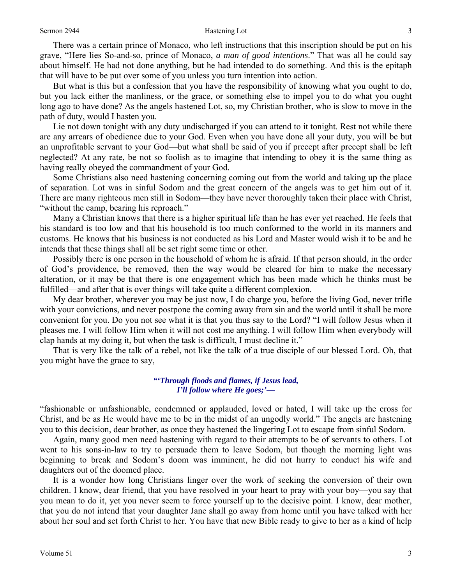### Sermon 2944 **Sermon 2944** 3

 There was a certain prince of Monaco, who left instructions that this inscription should be put on his grave, "Here lies So-and-so, prince of Monaco, *a man of good intentions*." That was all he could say about himself. He had not done anything, but he had intended to do something. And this is the epitaph that will have to be put over some of you unless you turn intention into action.

 But what is this but a confession that you have the responsibility of knowing what you ought to do, but you lack either the manliness, or the grace, or something else to impel you to do what you ought long ago to have done? As the angels hastened Lot, so, my Christian brother, who is slow to move in the path of duty, would I hasten you.

 Lie not down tonight with any duty undischarged if you can attend to it tonight. Rest not while there are any arrears of obedience due to your God. Even when you have done all your duty, you will be but an unprofitable servant to your God—but what shall be said of you if precept after precept shall be left neglected? At any rate, be not so foolish as to imagine that intending to obey it is the same thing as having really obeyed the commandment of your God.

 Some Christians also need hastening concerning coming out from the world and taking up the place of separation. Lot was in sinful Sodom and the great concern of the angels was to get him out of it. There are many righteous men still in Sodom—they have never thoroughly taken their place with Christ, "without the camp, bearing his reproach."

 Many a Christian knows that there is a higher spiritual life than he has ever yet reached. He feels that his standard is too low and that his household is too much conformed to the world in its manners and customs. He knows that his business is not conducted as his Lord and Master would wish it to be and he intends that these things shall all be set right some time or other.

 Possibly there is one person in the household of whom he is afraid. If that person should, in the order of God's providence, be removed, then the way would be cleared for him to make the necessary alteration, or it may be that there is one engagement which has been made which he thinks must be fulfilled—and after that is over things will take quite a different complexion.

 My dear brother, wherever you may be just now, I do charge you, before the living God, never trifle with your convictions, and never postpone the coming away from sin and the world until it shall be more convenient for you. Do you not see what it is that you thus say to the Lord? "I will follow Jesus when it pleases me. I will follow Him when it will not cost me anything. I will follow Him when everybody will clap hands at my doing it, but when the task is difficult, I must decline it."

 That is very like the talk of a rebel, not like the talk of a true disciple of our blessed Lord. Oh, that you might have the grace to say,—

> *"'Through floods and flames, if Jesus lead, I'll follow where He goes;'—*

"fashionable or unfashionable, condemned or applauded, loved or hated, I will take up the cross for Christ, and be as He would have me to be in the midst of an ungodly world." The angels are hastening you to this decision, dear brother, as once they hastened the lingering Lot to escape from sinful Sodom.

 Again, many good men need hastening with regard to their attempts to be of servants to others. Lot went to his sons-in-law to try to persuade them to leave Sodom, but though the morning light was beginning to break and Sodom's doom was imminent, he did not hurry to conduct his wife and daughters out of the doomed place.

 It is a wonder how long Christians linger over the work of seeking the conversion of their own children. I know, dear friend, that you have resolved in your heart to pray with your boy—you say that you mean to do it, yet you never seem to force yourself up to the decisive point. I know, dear mother, that you do not intend that your daughter Jane shall go away from home until you have talked with her about her soul and set forth Christ to her. You have that new Bible ready to give to her as a kind of help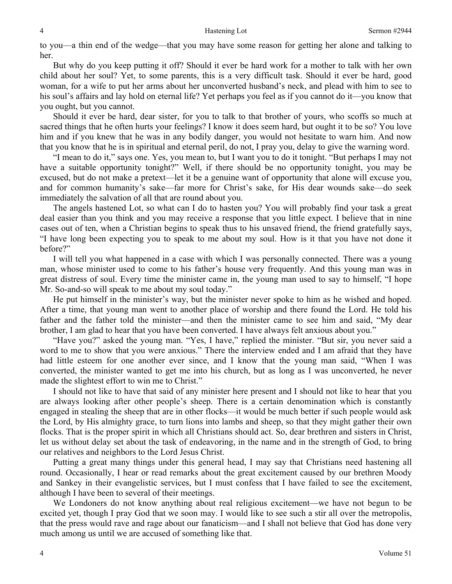to you—a thin end of the wedge—that you may have some reason for getting her alone and talking to her.

 But why do you keep putting it off? Should it ever be hard work for a mother to talk with her own child about her soul? Yet, to some parents, this is a very difficult task. Should it ever be hard, good woman, for a wife to put her arms about her unconverted husband's neck, and plead with him to see to his soul's affairs and lay hold on eternal life? Yet perhaps you feel as if you cannot do it—you know that you ought, but you cannot.

 Should it ever be hard, dear sister, for you to talk to that brother of yours, who scoffs so much at sacred things that he often hurts your feelings? I know it does seem hard, but ought it to be so? You love him and if you knew that he was in any bodily danger, you would not hesitate to warn him. And now that you know that he is in spiritual and eternal peril, do not, I pray you, delay to give the warning word.

 "I mean to do it," says one. Yes, you mean to, but I want you to do it tonight. "But perhaps I may not have a suitable opportunity tonight?" Well, if there should be no opportunity tonight, you may be excused, but do not make a pretext—let it be a genuine want of opportunity that alone will excuse you, and for common humanity's sake—far more for Christ's sake, for His dear wounds sake—do seek immediately the salvation of all that are round about you.

 The angels hastened Lot, so what can I do to hasten you? You will probably find your task a great deal easier than you think and you may receive a response that you little expect. I believe that in nine cases out of ten, when a Christian begins to speak thus to his unsaved friend, the friend gratefully says, "I have long been expecting you to speak to me about my soul. How is it that you have not done it before?"

 I will tell you what happened in a case with which I was personally connected. There was a young man, whose minister used to come to his father's house very frequently. And this young man was in great distress of soul. Every time the minister came in, the young man used to say to himself, "I hope Mr. So-and-so will speak to me about my soul today."

 He put himself in the minister's way, but the minister never spoke to him as he wished and hoped. After a time, that young man went to another place of worship and there found the Lord. He told his father and the father told the minister—and then the minister came to see him and said, "My dear brother, I am glad to hear that you have been converted. I have always felt anxious about you."

 "Have you?" asked the young man. "Yes, I have," replied the minister. "But sir, you never said a word to me to show that you were anxious." There the interview ended and I am afraid that they have had little esteem for one another ever since, and I know that the young man said, "When I was converted, the minister wanted to get me into his church, but as long as I was unconverted, he never made the slightest effort to win me to Christ."

 I should not like to have that said of any minister here present and I should not like to hear that you are always looking after other people's sheep. There is a certain denomination which is constantly engaged in stealing the sheep that are in other flocks—it would be much better if such people would ask the Lord, by His almighty grace, to turn lions into lambs and sheep, so that they might gather their own flocks. That is the proper spirit in which all Christians should act. So, dear brethren and sisters in Christ, let us without delay set about the task of endeavoring, in the name and in the strength of God, to bring our relatives and neighbors to the Lord Jesus Christ.

 Putting a great many things under this general head, I may say that Christians need hastening all round. Occasionally, I hear or read remarks about the great excitement caused by our brethren Moody and Sankey in their evangelistic services, but I must confess that I have failed to see the excitement, although I have been to several of their meetings.

 We Londoners do not know anything about real religious excitement—we have not begun to be excited yet, though I pray God that we soon may. I would like to see such a stir all over the metropolis, that the press would rave and rage about our fanaticism—and I shall not believe that God has done very much among us until we are accused of something like that.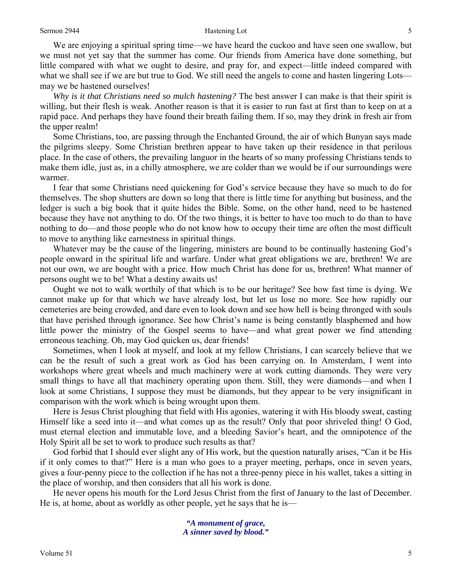### Sermon 2944 **Sermon 2944 Sermon 2944 S**

 We are enjoying a spiritual spring time—we have heard the cuckoo and have seen one swallow, but we must not yet say that the summer has come. Our friends from America have done something, but little compared with what we ought to desire, and pray for, and expect—little indeed compared with what we shall see if we are but true to God. We still need the angels to come and hasten lingering Lots may we be hastened ourselves!

*Why is it that Christians need so mulch hastening?* The best answer I can make is that their spirit is willing, but their flesh is weak. Another reason is that it is easier to run fast at first than to keep on at a rapid pace. And perhaps they have found their breath failing them. If so, may they drink in fresh air from the upper realm!

 Some Christians, too, are passing through the Enchanted Ground, the air of which Bunyan says made the pilgrims sleepy. Some Christian brethren appear to have taken up their residence in that perilous place. In the case of others, the prevailing languor in the hearts of so many professing Christians tends to make them idle, just as, in a chilly atmosphere, we are colder than we would be if our surroundings were warmer.

 I fear that some Christians need quickening for God's service because they have so much to do for themselves. The shop shutters are down so long that there is little time for anything but business, and the ledger is such a big book that it quite hides the Bible. Some, on the other hand, need to be hastened because they have not anything to do. Of the two things, it is better to have too much to do than to have nothing to do—and those people who do not know how to occupy their time are often the most difficult to move to anything like earnestness in spiritual things.

 Whatever may be the cause of the lingering, ministers are bound to be continually hastening God's people onward in the spiritual life and warfare. Under what great obligations we are, brethren! We are not our own, we are bought with a price. How much Christ has done for us, brethren! What manner of persons ought we to be! What a destiny awaits us!

 Ought we not to walk worthily of that which is to be our heritage? See how fast time is dying. We cannot make up for that which we have already lost, but let us lose no more. See how rapidly our cemeteries are being crowded, and dare even to look down and see how hell is being thronged with souls that have perished through ignorance. See how Christ's name is being constantly blasphemed and how little power the ministry of the Gospel seems to have—and what great power we find attending erroneous teaching. Oh, may God quicken us, dear friends!

 Sometimes, when I look at myself, and look at my fellow Christians, I can scarcely believe that we can be the result of such a great work as God has been carrying on. In Amsterdam, I went into workshops where great wheels and much machinery were at work cutting diamonds. They were very small things to have all that machinery operating upon them. Still, they were diamonds—and when I look at some Christians, I suppose they must be diamonds, but they appear to be very insignificant in comparison with the work which is being wrought upon them.

 Here is Jesus Christ ploughing that field with His agonies, watering it with His bloody sweat, casting Himself like a seed into it—and what comes up as the result? Only that poor shriveled thing! O God, must eternal election and immutable love, and a bleeding Savior's heart, and the omnipotence of the Holy Spirit all be set to work to produce such results as that?

 God forbid that I should ever slight any of His work, but the question naturally arises, "Can it be His if it only comes to that?" Here is a man who goes to a prayer meeting, perhaps, once in seven years, gives a four-penny piece to the collection if he has not a three-penny piece in his wallet, takes a sitting in the place of worship, and then considers that all his work is done.

 He never opens his mouth for the Lord Jesus Christ from the first of January to the last of December. He is, at home, about as worldly as other people, yet he says that he is—

> *"A monument of grace, A sinner saved by blood."*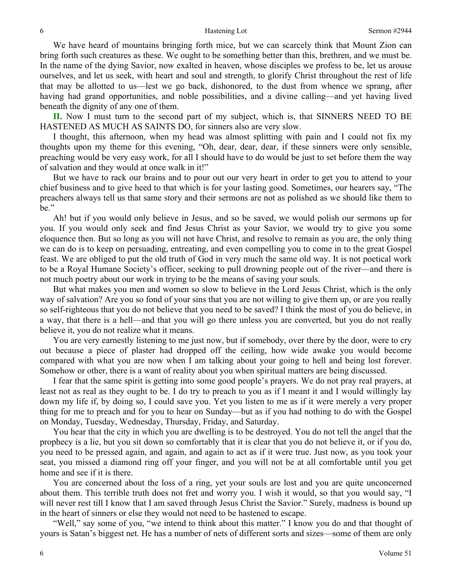We have heard of mountains bringing forth mice, but we can scarcely think that Mount Zion can bring forth such creatures as these. We ought to be something better than this, brethren, and we must be. In the name of the dying Savior, now exalted in heaven, whose disciples we profess to be, let us arouse ourselves, and let us seek, with heart and soul and strength, to glorify Christ throughout the rest of life that may be allotted to us—lest we go back, dishonored, to the dust from whence we sprang, after having had grand opportunities, and noble possibilities, and a divine calling—and yet having lived beneath the dignity of any one of them.

**II.** Now I must turn to the second part of my subject, which is, that SINNERS NEED TO BE HASTENED AS MUCH AS SAINTS DO, for sinners also are very slow.

 I thought, this afternoon, when my head was almost splitting with pain and I could not fix my thoughts upon my theme for this evening, "Oh, dear, dear, dear, if these sinners were only sensible, preaching would be very easy work, for all I should have to do would be just to set before them the way of salvation and they would at once walk in it!"

 But we have to rack our brains and to pour out our very heart in order to get you to attend to your chief business and to give heed to that which is for your lasting good. Sometimes, our hearers say, "The preachers always tell us that same story and their sermons are not as polished as we should like them to be."

 Ah! but if you would only believe in Jesus, and so be saved, we would polish our sermons up for you. If you would only seek and find Jesus Christ as your Savior, we would try to give you some eloquence then. But so long as you will not have Christ, and resolve to remain as you are, the only thing we can do is to keep on persuading, entreating, and even compelling you to come in to the great Gospel feast. We are obliged to put the old truth of God in very much the same old way. It is not poetical work to be a Royal Humane Society's officer, seeking to pull drowning people out of the river—and there is not much poetry about our work in trying to be the means of saving your souls.

 But what makes you men and women so slow to believe in the Lord Jesus Christ, which is the only way of salvation? Are you so fond of your sins that you are not willing to give them up, or are you really so self-righteous that you do not believe that you need to be saved? I think the most of you do believe, in a way, that there is a hell—and that you will go there unless you are converted, but you do not really believe it, you do not realize what it means.

 You are very earnestly listening to me just now, but if somebody, over there by the door, were to cry out because a piece of plaster had dropped off the ceiling, how wide awake you would become compared with what you are now when I am talking about your going to hell and being lost forever. Somehow or other, there is a want of reality about you when spiritual matters are being discussed.

 I fear that the same spirit is getting into some good people's prayers. We do not pray real prayers, at least not as real as they ought to be. I do try to preach to you as if I meant it and I would willingly lay down my life if, by doing so, I could save you. Yet you listen to me as if it were merely a very proper thing for me to preach and for you to hear on Sunday—but as if you had nothing to do with the Gospel on Monday, Tuesday, Wednesday, Thursday, Friday, and Saturday.

 You hear that the city in which you are dwelling is to be destroyed. You do not tell the angel that the prophecy is a lie, but you sit down so comfortably that it is clear that you do not believe it, or if you do, you need to be pressed again, and again, and again to act as if it were true. Just now, as you took your seat, you missed a diamond ring off your finger, and you will not be at all comfortable until you get home and see if it is there.

 You are concerned about the loss of a ring, yet your souls are lost and you are quite unconcerned about them. This terrible truth does not fret and worry you. I wish it would, so that you would say, "I will never rest till I know that I am saved through Jesus Christ the Savior." Surely, madness is bound up in the heart of sinners or else they would not need to be hastened to escape.

 "Well," say some of you, "we intend to think about this matter." I know you do and that thought of yours is Satan's biggest net. He has a number of nets of different sorts and sizes—some of them are only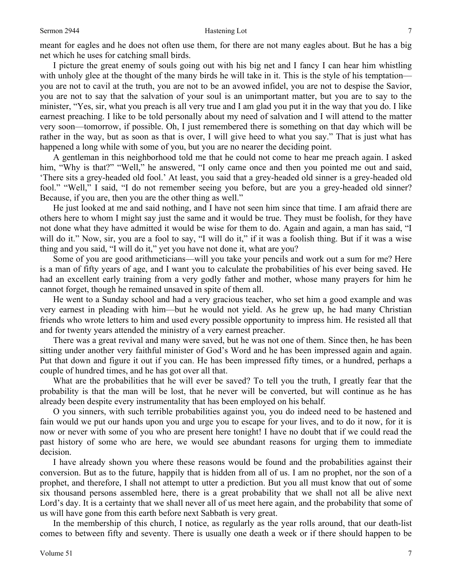### Sermon 2944 **Sermon 2944 Hastening Lot** 7

meant for eagles and he does not often use them, for there are not many eagles about. But he has a big net which he uses for catching small birds.

 I picture the great enemy of souls going out with his big net and I fancy I can hear him whistling with unholy glee at the thought of the many birds he will take in it. This is the style of his temptation you are not to cavil at the truth, you are not to be an avowed infidel, you are not to despise the Savior, you are not to say that the salvation of your soul is an unimportant matter, but you are to say to the minister, "Yes, sir, what you preach is all very true and I am glad you put it in the way that you do. I like earnest preaching. I like to be told personally about my need of salvation and I will attend to the matter very soon—tomorrow, if possible. Oh, I just remembered there is something on that day which will be rather in the way, but as soon as that is over, I will give heed to what you say." That is just what has happened a long while with some of you, but you are no nearer the deciding point.

 A gentleman in this neighborhood told me that he could not come to hear me preach again. I asked him, "Why is that?" "Well," he answered, "I only came once and then you pointed me out and said, 'There sits a grey-headed old fool.' At least, you said that a grey-headed old sinner is a grey-headed old fool." "Well," I said, "I do not remember seeing you before, but are you a grey-headed old sinner? Because, if you are, then you are the other thing as well."

 He just looked at me and said nothing, and I have not seen him since that time. I am afraid there are others here to whom I might say just the same and it would be true. They must be foolish, for they have not done what they have admitted it would be wise for them to do. Again and again, a man has said, "I will do it." Now, sir, you are a fool to say, "I will do it," if it was a foolish thing. But if it was a wise thing and you said, "I will do it," yet you have not done it, what are you?

 Some of you are good arithmeticians—will you take your pencils and work out a sum for me? Here is a man of fifty years of age, and I want you to calculate the probabilities of his ever being saved. He had an excellent early training from a very godly father and mother, whose many prayers for him he cannot forget, though he remained unsaved in spite of them all.

 He went to a Sunday school and had a very gracious teacher, who set him a good example and was very earnest in pleading with him—but he would not yield. As he grew up, he had many Christian friends who wrote letters to him and used every possible opportunity to impress him. He resisted all that and for twenty years attended the ministry of a very earnest preacher.

 There was a great revival and many were saved, but he was not one of them. Since then, he has been sitting under another very faithful minister of God's Word and he has been impressed again and again. Put that down and figure it out if you can. He has been impressed fifty times, or a hundred, perhaps a couple of hundred times, and he has got over all that.

 What are the probabilities that he will ever be saved? To tell you the truth, I greatly fear that the probability is that the man will be lost, that he never will be converted, but will continue as he has already been despite every instrumentality that has been employed on his behalf.

 O you sinners, with such terrible probabilities against you, you do indeed need to be hastened and fain would we put our hands upon you and urge you to escape for your lives, and to do it now, for it is now or never with some of you who are present here tonight! I have no doubt that if we could read the past history of some who are here, we would see abundant reasons for urging them to immediate decision.

 I have already shown you where these reasons would be found and the probabilities against their conversion. But as to the future, happily that is hidden from all of us. I am no prophet, nor the son of a prophet, and therefore, I shall not attempt to utter a prediction. But you all must know that out of some six thousand persons assembled here, there is a great probability that we shall not all be alive next Lord's day. It is a certainty that we shall never all of us meet here again, and the probability that some of us will have gone from this earth before next Sabbath is very great.

 In the membership of this church, I notice, as regularly as the year rolls around, that our death-list comes to between fifty and seventy. There is usually one death a week or if there should happen to be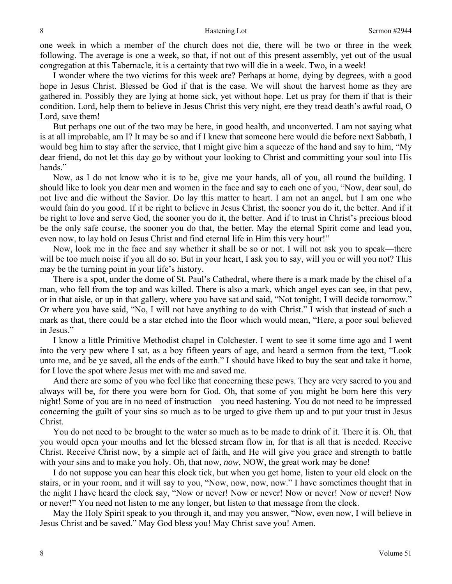one week in which a member of the church does not die, there will be two or three in the week following. The average is one a week, so that, if not out of this present assembly, yet out of the usual congregation at this Tabernacle, it is a certainty that two will die in a week. Two, in a week!

 I wonder where the two victims for this week are? Perhaps at home, dying by degrees, with a good hope in Jesus Christ. Blessed be God if that is the case. We will shout the harvest home as they are gathered in. Possibly they are lying at home sick, yet without hope. Let us pray for them if that is their condition. Lord, help them to believe in Jesus Christ this very night, ere they tread death's awful road, O Lord, save them!

 But perhaps one out of the two may be here, in good health, and unconverted. I am not saying what is at all improbable, am I? It may be so and if I knew that someone here would die before next Sabbath, I would beg him to stay after the service, that I might give him a squeeze of the hand and say to him, "My dear friend, do not let this day go by without your looking to Christ and committing your soul into His hands."

 Now, as I do not know who it is to be, give me your hands, all of you, all round the building. I should like to look you dear men and women in the face and say to each one of you, "Now, dear soul, do not live and die without the Savior. Do lay this matter to heart. I am not an angel, but I am one who would fain do you good. If it be right to believe in Jesus Christ, the sooner you do it, the better. And if it be right to love and serve God, the sooner you do it, the better. And if to trust in Christ's precious blood be the only safe course, the sooner you do that, the better. May the eternal Spirit come and lead you, even now, to lay hold on Jesus Christ and find eternal life in Him this very hour!"

 Now, look me in the face and say whether it shall be so or not. I will not ask you to speak—there will be too much noise if you all do so. But in your heart, I ask you to say, will you or will you not? This may be the turning point in your life's history.

 There is a spot, under the dome of St. Paul's Cathedral, where there is a mark made by the chisel of a man, who fell from the top and was killed. There is also a mark, which angel eyes can see, in that pew, or in that aisle, or up in that gallery, where you have sat and said, "Not tonight. I will decide tomorrow." Or where you have said, "No, I will not have anything to do with Christ." I wish that instead of such a mark as that, there could be a star etched into the floor which would mean, "Here, a poor soul believed in Jesus."

 I know a little Primitive Methodist chapel in Colchester. I went to see it some time ago and I went into the very pew where I sat, as a boy fifteen years of age, and heard a sermon from the text, "Look unto me, and be ye saved, all the ends of the earth." I should have liked to buy the seat and take it home, for I love the spot where Jesus met with me and saved me.

 And there are some of you who feel like that concerning these pews. They are very sacred to you and always will be, for there you were born for God. Oh, that some of you might be born here this very night! Some of you are in no need of instruction—you need hastening. You do not need to be impressed concerning the guilt of your sins so much as to be urged to give them up and to put your trust in Jesus Christ.

 You do not need to be brought to the water so much as to be made to drink of it. There it is. Oh, that you would open your mouths and let the blessed stream flow in, for that is all that is needed. Receive Christ. Receive Christ now, by a simple act of faith, and He will give you grace and strength to battle with your sins and to make you holy. Oh, that now, *now*, NOW, the great work may be done!

 I do not suppose you can hear this clock tick, but when you get home, listen to your old clock on the stairs, or in your room, and it will say to you, "Now, now, now, now." I have sometimes thought that in the night I have heard the clock say, "Now or never! Now or never! Now or never! Now or never! Now or never!" You need not listen to me any longer, but listen to that message from the clock.

 May the Holy Spirit speak to you through it, and may you answer, "Now, even now, I will believe in Jesus Christ and be saved." May God bless you! May Christ save you! Amen.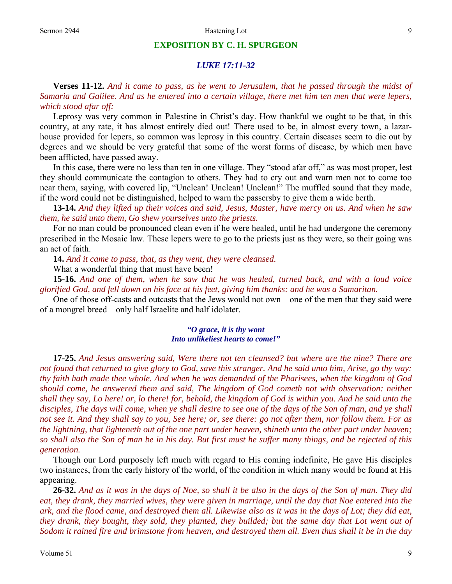### **EXPOSITION BY C. H. SPURGEON**

## *LUKE 17:11-32*

**Verses 11-12.** *And it came to pass, as he went to Jerusalem, that he passed through the midst of Samaria and Galilee. And as he entered into a certain village, there met him ten men that were lepers, which stood afar off:* 

Leprosy was very common in Palestine in Christ's day. How thankful we ought to be that, in this country, at any rate, it has almost entirely died out! There used to be, in almost every town, a lazarhouse provided for lepers, so common was leprosy in this country. Certain diseases seem to die out by degrees and we should be very grateful that some of the worst forms of disease, by which men have been afflicted, have passed away.

 In this case, there were no less than ten in one village. They "stood afar off," as was most proper, lest they should communicate the contagion to others. They had to cry out and warn men not to come too near them, saying, with covered lip, "Unclean! Unclean! Unclean!" The muffled sound that they made, if the word could not be distinguished, helped to warn the passersby to give them a wide berth.

**13-14.** *And they lifted up their voices and said, Jesus, Master, have mercy on us. And when he saw them, he said unto them, Go shew yourselves unto the priests.* 

For no man could be pronounced clean even if he were healed, until he had undergone the ceremony prescribed in the Mosaic law. These lepers were to go to the priests just as they were, so their going was an act of faith.

**14.** *And it came to pass, that, as they went, they were cleansed.* 

What a wonderful thing that must have been!

**15-16.** *And one of them, when he saw that he was healed, turned back, and with a loud voice glorified God, and fell down on his face at his feet, giving him thanks: and he was a Samaritan.* 

One of those off-casts and outcasts that the Jews would not own—one of the men that they said were of a mongrel breed—only half Israelite and half idolater.

### *"O grace, it is thy wont Into unlikeliest hearts to come!"*

**17-25.** *And Jesus answering said, Were there not ten cleansed? but where are the nine? There are not found that returned to give glory to God, save this stranger. And he said unto him, Arise, go thy way: thy faith hath made thee whole. And when he was demanded of the Pharisees, when the kingdom of God should come, he answered them and said, The kingdom of God cometh not with observation: neither shall they say, Lo here! or, lo there! for, behold, the kingdom of God is within you. And he said unto the disciples, The days will come, when ye shall desire to see one of the days of the Son of man, and ye shall not see it. And they shall say to you, See here; or, see there: go not after them, nor follow them. For as the lightning, that lighteneth out of the one part under heaven, shineth unto the other part under heaven; so shall also the Son of man be in his day. But first must he suffer many things, and be rejected of this generation.* 

Though our Lord purposely left much with regard to His coming indefinite, He gave His disciples two instances, from the early history of the world, of the condition in which many would be found at His appearing.

**26-32.** *And as it was in the days of Noe, so shall it be also in the days of the Son of man. They did eat, they drank, they married wives, they were given in marriage, until the day that Noe entered into the ark, and the flood came, and destroyed them all. Likewise also as it was in the days of Lot; they did eat, they drank, they bought, they sold, they planted, they builded; but the same day that Lot went out of Sodom it rained fire and brimstone from heaven, and destroyed them all. Even thus shall it be in the day*